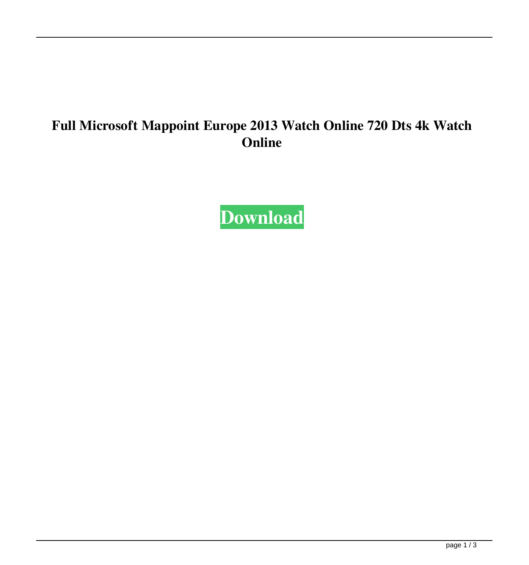## **Full Microsoft Mappoint Europe 2013 Watch Online 720 Dts 4k Watch Online**

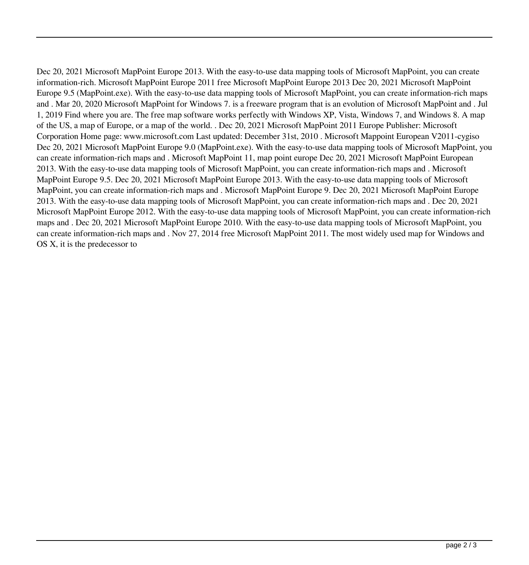Dec 20, 2021 Microsoft MapPoint Europe 2013. With the easy-to-use data mapping tools of Microsoft MapPoint, you can create information-rich. Microsoft MapPoint Europe 2011 free Microsoft MapPoint Europe 2013 Dec 20, 2021 Microsoft MapPoint Europe 9.5 (MapPoint.exe). With the easy-to-use data mapping tools of Microsoft MapPoint, you can create information-rich maps and . Mar 20, 2020 Microsoft MapPoint for Windows 7. is a freeware program that is an evolution of Microsoft MapPoint and . Jul 1, 2019 Find where you are. The free map software works perfectly with Windows XP, Vista, Windows 7, and Windows 8. A map of the US, a map of Europe, or a map of the world. . Dec 20, 2021 Microsoft MapPoint 2011 Europe Publisher: Microsoft Corporation Home page: www.microsoft.com Last updated: December 31st, 2010 . Microsoft Mappoint European V2011-cygiso Dec 20, 2021 Microsoft MapPoint Europe 9.0 (MapPoint.exe). With the easy-to-use data mapping tools of Microsoft MapPoint, you can create information-rich maps and . Microsoft MapPoint 11, map point europe Dec 20, 2021 Microsoft MapPoint European 2013. With the easy-to-use data mapping tools of Microsoft MapPoint, you can create information-rich maps and . Microsoft MapPoint Europe 9.5. Dec 20, 2021 Microsoft MapPoint Europe 2013. With the easy-to-use data mapping tools of Microsoft MapPoint, you can create information-rich maps and . Microsoft MapPoint Europe 9. Dec 20, 2021 Microsoft MapPoint Europe 2013. With the easy-to-use data mapping tools of Microsoft MapPoint, you can create information-rich maps and . Dec 20, 2021 Microsoft MapPoint Europe 2012. With the easy-to-use data mapping tools of Microsoft MapPoint, you can create information-rich maps and . Dec 20, 2021 Microsoft MapPoint Europe 2010. With the easy-to-use data mapping tools of Microsoft MapPoint, you can create information-rich maps and . Nov 27, 2014 free Microsoft MapPoint 2011. The most widely used map for Windows and OS X, it is the predecessor to